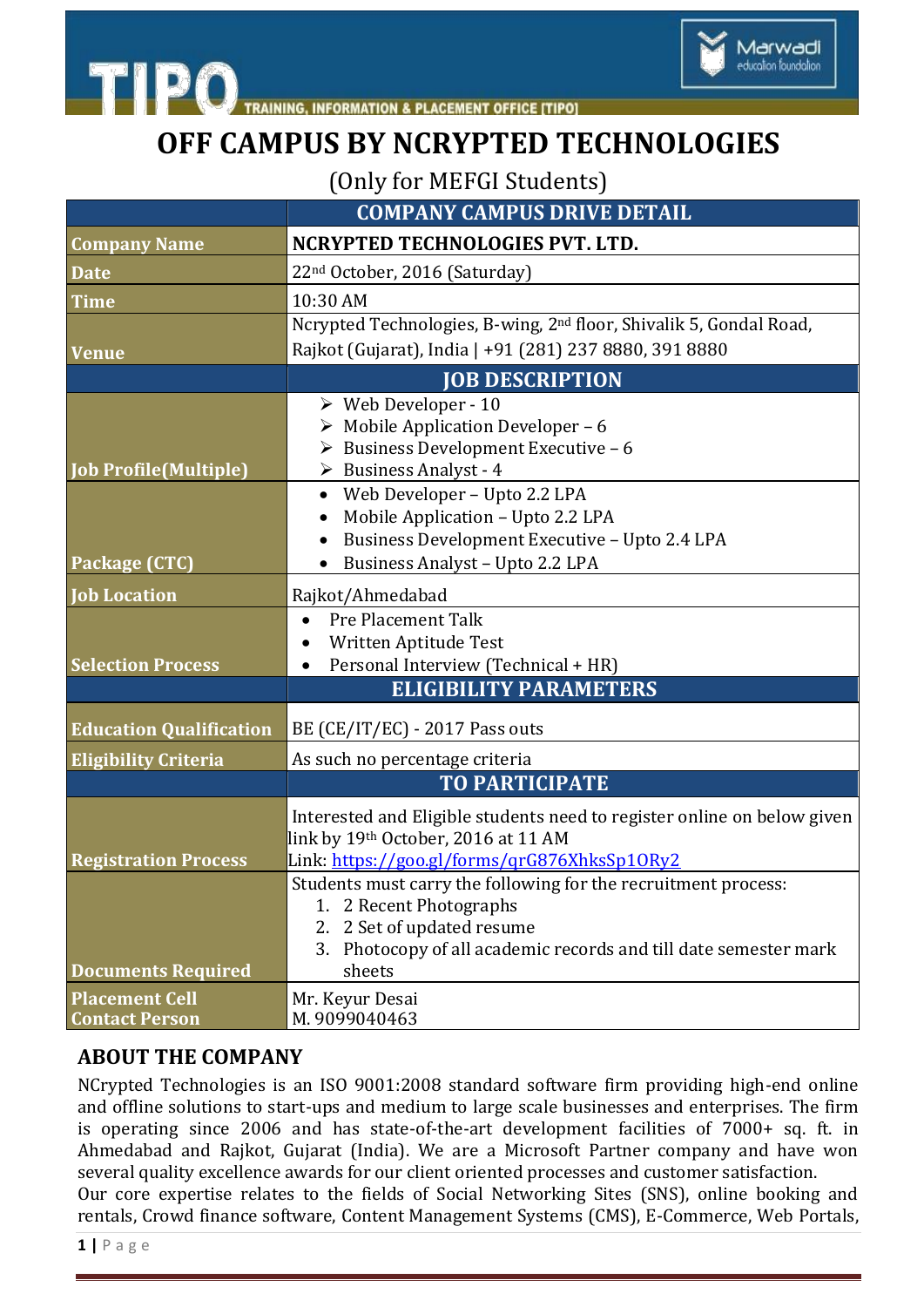

## **OFF CAMPUS BY NCRYPTED TECHNOLOGIES**

Marwadi education foundation

(Only for MEFGI Students)

|                                | <b>COMPANY CAMPUS DRIVE DETAIL</b>                                                                       |
|--------------------------------|----------------------------------------------------------------------------------------------------------|
| <b>Company Name</b>            | NCRYPTED TECHNOLOGIES PVT. LTD.                                                                          |
| <b>Date</b>                    | 22 <sup>nd</sup> October, 2016 (Saturday)                                                                |
| <b>Time</b>                    | 10:30 AM                                                                                                 |
|                                | Ncrypted Technologies, B-wing, 2 <sup>nd</sup> floor, Shivalik 5, Gondal Road,                           |
| <b>Venue</b>                   | Rajkot (Gujarat), India   +91 (281) 237 8880, 391 8880                                                   |
|                                | <b>JOB DESCRIPTION</b>                                                                                   |
|                                | $\triangleright$ Web Developer - 10                                                                      |
|                                | $\triangleright$ Mobile Application Developer - 6<br>$\triangleright$ Business Development Executive - 6 |
| <b>Job Profile (Multiple)</b>  | $\triangleright$ Business Analyst - 4                                                                    |
|                                | Web Developer - Upto 2.2 LPA<br>$\bullet$                                                                |
|                                | Mobile Application - Upto 2.2 LPA                                                                        |
|                                | Business Development Executive - Upto 2.4 LPA                                                            |
| Package (CTC)                  | Business Analyst - Upto 2.2 LPA                                                                          |
| <b>Job Location</b>            | Rajkot/Ahmedabad                                                                                         |
|                                | <b>Pre Placement Talk</b><br>$\bullet$                                                                   |
| <b>Selection Process</b>       | Written Aptitude Test<br>$\bullet$                                                                       |
|                                | Personal Interview (Technical + HR)<br><b>ELIGIBILITY PARAMETERS</b>                                     |
|                                |                                                                                                          |
| <b>Education Qualification</b> | BE (CE/IT/EC) - 2017 Pass outs                                                                           |
| <b>Eligibility Criteria</b>    | As such no percentage criteria                                                                           |
|                                | <b>TO PARTICIPATE</b>                                                                                    |
|                                | Interested and Eligible students need to register online on below given                                  |
|                                | link by 19th October, 2016 at 11 AM                                                                      |
| <b>Registration Process</b>    | Link: https://goo.gl/forms/qrG876XhksSp10Ry2                                                             |
|                                | Students must carry the following for the recruitment process:<br>1. 2 Recent Photographs                |
|                                | 2 Set of updated resume<br>2.                                                                            |
|                                | Photocopy of all academic records and till date semester mark<br>3.                                      |
| <b>Documents Required</b>      | sheets                                                                                                   |
| <b>Placement Cell</b>          | Mr. Keyur Desai                                                                                          |
| <b>Contact Person</b>          | M. 9099040463                                                                                            |

## **ABOUT THE COMPANY**

NCrypted Technologies is an ISO 9001:2008 standard software firm providing high-end online and offline solutions to start-ups and medium to large scale businesses and enterprises. The firm is operating since 2006 and has state-of-the-art development facilities of 7000+ sq. ft. in Ahmedabad and Rajkot, Gujarat (India). We are a Microsoft Partner company and have won several quality excellence awards for our client oriented processes and customer satisfaction. Our core expertise relates to the fields of Social Networking Sites (SNS), online booking and rentals, Crowd finance software, Content Management Systems (CMS), E-Commerce, Web Portals,